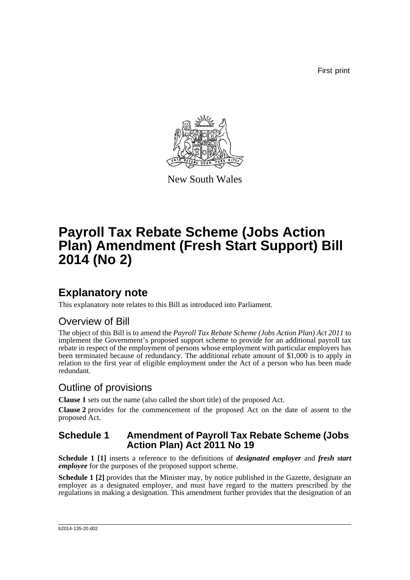First print



New South Wales

# **Payroll Tax Rebate Scheme (Jobs Action Plan) Amendment (Fresh Start Support) Bill 2014 (No 2)**

## **Explanatory note**

This explanatory note relates to this Bill as introduced into Parliament.

### Overview of Bill

The object of this Bill is to amend the *Payroll Tax Rebate Scheme (Jobs Action Plan) Act 2011* to implement the Government's proposed support scheme to provide for an additional payroll tax rebate in respect of the employment of persons whose employment with particular employers has been terminated because of redundancy. The additional rebate amount of \$1,000 is to apply in relation to the first year of eligible employment under the Act of a person who has been made redundant.

### Outline of provisions

**Clause 1** sets out the name (also called the short title) of the proposed Act.

**Clause 2** provides for the commencement of the proposed Act on the date of assent to the proposed Act.

### **Schedule 1 Amendment of Payroll Tax Rebate Scheme (Jobs Action Plan) Act 2011 No 19**

**Schedule 1 [1]** inserts a reference to the definitions of *designated employer* and *fresh start employee* for the purposes of the proposed support scheme.

**Schedule 1 [2]** provides that the Minister may, by notice published in the Gazette, designate an employer as a designated employer, and must have regard to the matters prescribed by the regulations in making a designation. This amendment further provides that the designation of an

#### b2014-135-20.d02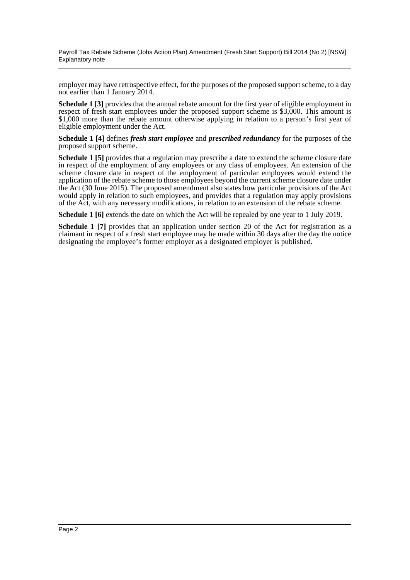Payroll Tax Rebate Scheme (Jobs Action Plan) Amendment (Fresh Start Support) Bill 2014 (No 2) [NSW] Explanatory note

employer may have retrospective effect, for the purposes of the proposed support scheme, to a day not earlier than 1 January 2014.

**Schedule 1 [3]** provides that the annual rebate amount for the first year of eligible employment in respect of fresh start employees under the proposed support scheme is \$3,000. This amount is \$1,000 more than the rebate amount otherwise applying in relation to a person's first year of eligible employment under the Act.

**Schedule 1 [4]** defines *fresh start employee* and *prescribed redundancy* for the purposes of the proposed support scheme.

**Schedule 1 [5]** provides that a regulation may prescribe a date to extend the scheme closure date in respect of the employment of any employees or any class of employees. An extension of the scheme closure date in respect of the employment of particular employees would extend the application of the rebate scheme to those employees beyond the current scheme closure date under the Act (30 June 2015). The proposed amendment also states how particular provisions of the Act would apply in relation to such employees, and provides that a regulation may apply provisions of the Act, with any necessary modifications, in relation to an extension of the rebate scheme.

**Schedule 1 [6]** extends the date on which the Act will be repealed by one year to 1 July 2019.

**Schedule 1 [7]** provides that an application under section 20 of the Act for registration as a claimant in respect of a fresh start employee may be made within 30 days after the day the notice designating the employee's former employer as a designated employer is published.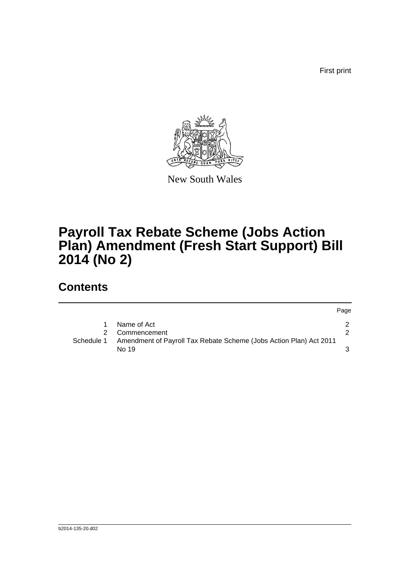First print



New South Wales

# **Payroll Tax Rebate Scheme (Jobs Action Plan) Amendment (Fresh Start Support) Bill 2014 (No 2)**

## **Contents**

|            |                                                                             | Page          |
|------------|-----------------------------------------------------------------------------|---------------|
|            | Name of Act                                                                 |               |
| 2          | Commencement                                                                | $\mathcal{P}$ |
| Schedule 1 | Amendment of Payroll Tax Rebate Scheme (Jobs Action Plan) Act 2011<br>No 19 |               |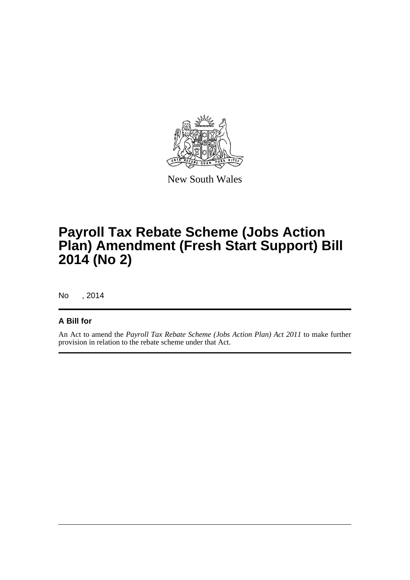

New South Wales

# **Payroll Tax Rebate Scheme (Jobs Action Plan) Amendment (Fresh Start Support) Bill 2014 (No 2)**

No , 2014

### **A Bill for**

An Act to amend the *Payroll Tax Rebate Scheme (Jobs Action Plan) Act 2011* to make further provision in relation to the rebate scheme under that Act.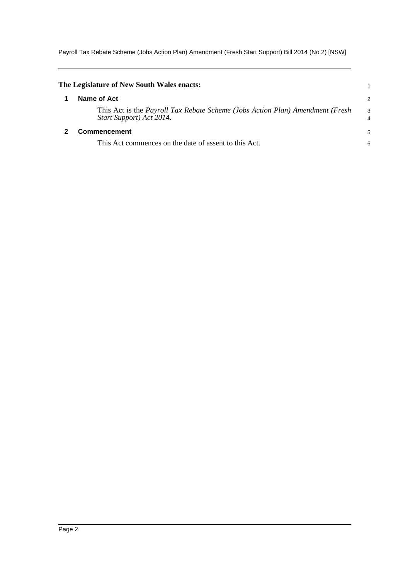Payroll Tax Rebate Scheme (Jobs Action Plan) Amendment (Fresh Start Support) Bill 2014 (No 2) [NSW]

<span id="page-4-1"></span><span id="page-4-0"></span>

| The Legislature of New South Wales enacts:                                                                |                     |
|-----------------------------------------------------------------------------------------------------------|---------------------|
| Name of Act                                                                                               | $\overline{2}$      |
| This Act is the Payroll Tax Rebate Scheme (Jobs Action Plan) Amendment (Fresh<br>Start Support) Act 2014. | 3<br>$\overline{4}$ |
| Commencement                                                                                              | 5                   |
| This Act commences on the date of assent to this Act.                                                     | 6                   |
|                                                                                                           |                     |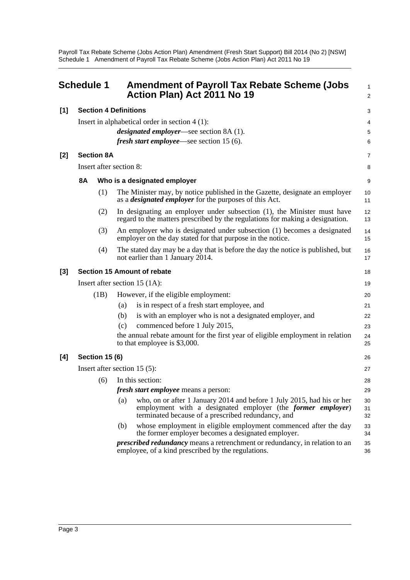Payroll Tax Rebate Scheme (Jobs Action Plan) Amendment (Fresh Start Support) Bill 2014 (No 2) [NSW] Schedule 1 Amendment of Payroll Tax Rebate Scheme (Jobs Action Plan) Act 2011 No 19

<span id="page-5-0"></span>

|                                     | <b>Schedule 1</b>                                |     | <b>Amendment of Payroll Tax Rebate Scheme (Jobs</b><br>Action Plan) Act 2011 No 19                                                                                                                  | $\mathbf{1}$<br>2 |  |
|-------------------------------------|--------------------------------------------------|-----|-----------------------------------------------------------------------------------------------------------------------------------------------------------------------------------------------------|-------------------|--|
| <b>Section 4 Definitions</b><br>[1] |                                                  |     |                                                                                                                                                                                                     |                   |  |
|                                     | Insert in alphabetical order in section $4(1)$ : |     |                                                                                                                                                                                                     |                   |  |
|                                     |                                                  |     | <i>designated employer</i> —see section 8A (1).                                                                                                                                                     | 4<br>5            |  |
|                                     |                                                  |     | <i>fresh start employee</i> —see section 15 (6).                                                                                                                                                    | 6                 |  |
| $[2]$                               | <b>Section 8A</b>                                |     |                                                                                                                                                                                                     | 7                 |  |
|                                     | Insert after section 8:                          |     |                                                                                                                                                                                                     |                   |  |
|                                     | <b>8A</b><br>Who is a designated employer        |     |                                                                                                                                                                                                     |                   |  |
|                                     | (1)                                              |     | The Minister may, by notice published in the Gazette, designate an employer<br>as a <i>designated employer</i> for the purposes of this Act.                                                        | 10<br>11          |  |
|                                     | (2)                                              |     | In designating an employer under subsection (1), the Minister must have<br>regard to the matters prescribed by the regulations for making a designation.                                            | 12<br>13          |  |
|                                     | (3)                                              |     | An employer who is designated under subsection (1) becomes a designated<br>employer on the day stated for that purpose in the notice.                                                               | 14<br>15          |  |
|                                     | (4)                                              |     | The stated day may be a day that is before the day the notice is published, but<br>not earlier than 1 January 2014.                                                                                 | 16<br>17          |  |
| $[3]$                               |                                                  |     | Section 15 Amount of rebate                                                                                                                                                                         | 18                |  |
|                                     | Insert after section 15 $(1A)$ :                 |     |                                                                                                                                                                                                     | 19                |  |
|                                     | (1B)                                             |     | However, if the eligible employment:                                                                                                                                                                | 20                |  |
|                                     |                                                  | (a) | is in respect of a fresh start employee, and                                                                                                                                                        | 21                |  |
|                                     |                                                  | (b) | is with an employer who is not a designated employer, and                                                                                                                                           | 22                |  |
|                                     |                                                  | (c) | commenced before 1 July 2015,                                                                                                                                                                       | 23                |  |
|                                     |                                                  |     | the annual rebate amount for the first year of eligible employment in relation<br>to that employee is \$3,000.                                                                                      | 24<br>25          |  |
| [4]                                 | <b>Section 15 (6)</b>                            |     |                                                                                                                                                                                                     |                   |  |
|                                     | Insert after section $15(5)$ :                   |     |                                                                                                                                                                                                     |                   |  |
|                                     | (6)                                              |     | In this section:                                                                                                                                                                                    | 28                |  |
|                                     |                                                  |     | <i>fresh start employee</i> means a person:                                                                                                                                                         | 29                |  |
|                                     |                                                  | (a) | who, on or after 1 January 2014 and before 1 July 2015, had his or her<br>employment with a designated employer (the <i>former employer</i> )<br>terminated because of a prescribed redundancy, and | 30<br>31<br>32    |  |
|                                     |                                                  | (b) | whose employment in eligible employment commenced after the day<br>the former employer becomes a designated employer.                                                                               | 33<br>34          |  |
|                                     |                                                  |     | <i>prescribed redundancy</i> means a retrenchment or redundancy, in relation to an<br>employee, of a kind prescribed by the regulations.                                                            | 35<br>36          |  |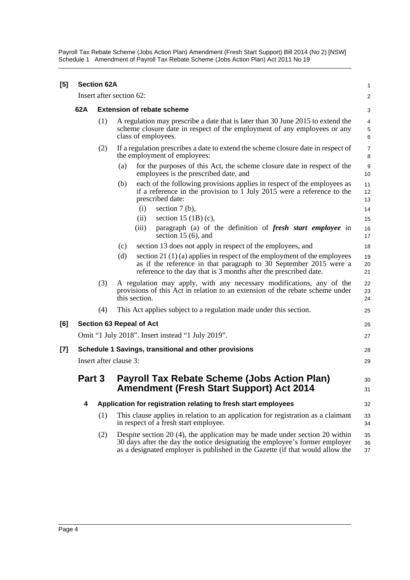Payroll Tax Rebate Scheme (Jobs Action Plan) Amendment (Fresh Start Support) Bill 2014 (No 2) [NSW] Schedule 1 Amendment of Payroll Tax Rebate Scheme (Jobs Action Plan) Act 2011 No 19

| [5]   |                                                                                                                  | <b>Section 62A</b>       |                                                                                                                                                                                                                                                 | 1                      |  |  |
|-------|------------------------------------------------------------------------------------------------------------------|--------------------------|-------------------------------------------------------------------------------------------------------------------------------------------------------------------------------------------------------------------------------------------------|------------------------|--|--|
|       | Insert after section 62:                                                                                         |                          |                                                                                                                                                                                                                                                 |                        |  |  |
|       | 62A<br><b>Extension of rebate scheme</b>                                                                         |                          |                                                                                                                                                                                                                                                 |                        |  |  |
|       |                                                                                                                  | (1)                      | A regulation may prescribe a date that is later than 30 June 2015 to extend the<br>scheme closure date in respect of the employment of any employees or any<br>class of employees.                                                              |                        |  |  |
|       |                                                                                                                  | (2)                      | If a regulation prescribes a date to extend the scheme closure date in respect of<br>the employment of employees:                                                                                                                               | $\overline{7}$<br>8    |  |  |
|       |                                                                                                                  |                          | for the purposes of this Act, the scheme closure date in respect of the<br>(a)<br>employees is the prescribed date, and                                                                                                                         | $\boldsymbol{9}$<br>10 |  |  |
|       |                                                                                                                  |                          | each of the following provisions applies in respect of the employees as<br>(b)<br>if a reference in the provision to $\overline{1}$ July 2015 were a reference to the<br>prescribed date:<br>(i)<br>section $7(b)$ ,                            | 11<br>12<br>13<br>14   |  |  |
|       |                                                                                                                  |                          | section 15 $(1B)$ (c),<br>(ii)                                                                                                                                                                                                                  | 15                     |  |  |
|       |                                                                                                                  |                          | (iii)<br>paragraph (a) of the definition of fresh start employee in<br>section 15 $(6)$ , and                                                                                                                                                   | 16<br>17               |  |  |
|       |                                                                                                                  |                          | section 13 does not apply in respect of the employees, and<br>(c)                                                                                                                                                                               | 18                     |  |  |
|       |                                                                                                                  |                          | section 21 $(1)$ (a) applies in respect of the employment of the employees<br>(d)<br>as if the reference in that paragraph to 30 September 2015 were a<br>reference to the day that is 3 months after the prescribed date.                      | 19<br>20<br>21         |  |  |
|       |                                                                                                                  | (3)                      | A regulation may apply, with any necessary modifications, any of the<br>provisions of this Act in relation to an extension of the rebate scheme under<br>this section.                                                                          | 22<br>23<br>24         |  |  |
|       |                                                                                                                  | (4)                      | This Act applies subject to a regulation made under this section.                                                                                                                                                                               | 25                     |  |  |
| [6]   |                                                                                                                  | Section 63 Repeal of Act |                                                                                                                                                                                                                                                 |                        |  |  |
|       | Omit "1 July 2018". Insert instead "1 July 2019".                                                                |                          |                                                                                                                                                                                                                                                 |                        |  |  |
| $[7]$ |                                                                                                                  |                          | Schedule 1 Savings, transitional and other provisions                                                                                                                                                                                           | 28                     |  |  |
|       |                                                                                                                  |                          | Insert after clause 3:                                                                                                                                                                                                                          | 29                     |  |  |
|       | <b>Payroll Tax Rebate Scheme (Jobs Action Plan)</b><br>Part 3<br><b>Amendment (Fresh Start Support) Act 2014</b> |                          |                                                                                                                                                                                                                                                 | 30<br>31               |  |  |
|       | 4                                                                                                                |                          | Application for registration relating to fresh start employees                                                                                                                                                                                  | 32                     |  |  |
|       |                                                                                                                  | (1)                      | This clause applies in relation to an application for registration as a claimant<br>in respect of a fresh start employee.                                                                                                                       | 33<br>34               |  |  |
|       |                                                                                                                  | (2)                      | Despite section $20(4)$ , the application may be made under section $20$ within<br>30 days after the day the notice designating the employee's former employer<br>as a designated employer is published in the Gazette (if that would allow the | 35<br>36<br>37         |  |  |